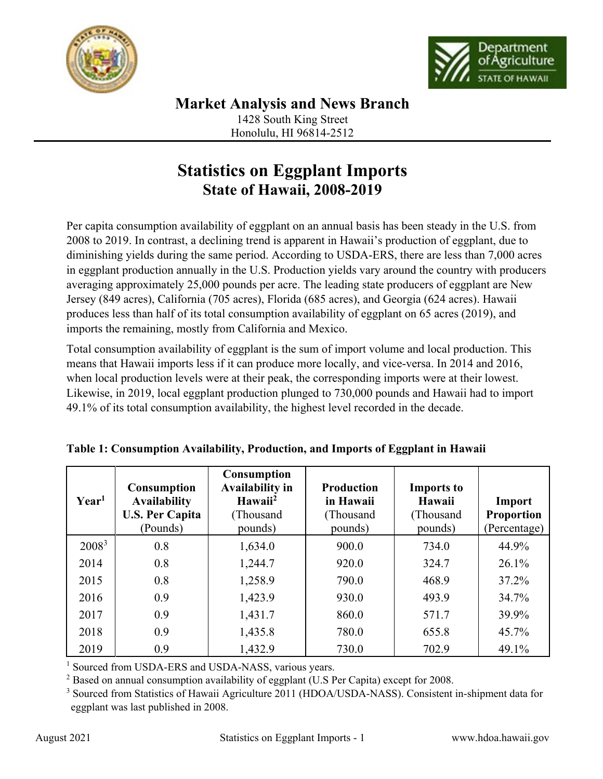



Honolulu, HI 96814-2512

## **Statistics on Eggplant Imports State of Hawaii, 2008-2019**

Per capita consumption availability of eggplant on an annual basis has been steady in the U.S. from 2008 to 2019. In contrast, a declining trend is apparent in Hawaii's production of eggplant, due to diminishing yields during the same period. According to USDA-ERS, there are less than 7,000 acres in eggplant production annually in the U.S. Production yields vary around the country with producers averaging approximately 25,000 pounds per acre. The leading state producers of eggplant are New Jersey (849 acres), California (705 acres), Florida (685 acres), and Georgia (624 acres). Hawaii produces less than half of its total consumption availability of eggplant on 65 acres (2019), and imports the remaining, mostly from California and Mexico.

Total consumption availability of eggplant is the sum of import volume and local production. This means that Hawaii imports less if it can produce more locally, and vice-versa. In 2014 and 2016, when local production levels were at their peak, the corresponding imports were at their lowest. Likewise, in 2019, local eggplant production plunged to 730,000 pounds and Hawaii had to import 49.1% of its total consumption availability, the highest level recorded in the decade.

| Year <sup>1</sup> | <b>Consumption</b><br><b>Availability</b><br><b>U.S. Per Capita</b><br>(Pounds) | <b>Consumption</b><br><b>Availability in</b><br>Hawaii <sup>2</sup><br>(Thousand<br>pounds) | <b>Production</b><br>in Hawaii<br>(Thousand<br>pounds) | <b>Imports to</b><br>Hawaii<br>(Thousand<br>pounds) | Import<br><b>Proportion</b><br>(Percentage) |
|-------------------|---------------------------------------------------------------------------------|---------------------------------------------------------------------------------------------|--------------------------------------------------------|-----------------------------------------------------|---------------------------------------------|
| 2008 <sup>3</sup> | 0.8                                                                             | 1,634.0                                                                                     | 900.0                                                  | 734.0                                               | 44.9%                                       |
| 2014              | 0.8                                                                             | 1,244.7                                                                                     | 920.0                                                  | 324.7                                               | $26.1\%$                                    |
| 2015              | 0.8                                                                             | 1,258.9                                                                                     | 790.0                                                  | 468.9                                               | 37.2%                                       |
| 2016              | 0.9                                                                             | 1,423.9                                                                                     | 930.0                                                  | 493.9                                               | 34.7%                                       |
| 2017              | 0.9                                                                             | 1,431.7                                                                                     | 860.0                                                  | 571.7                                               | 39.9%                                       |
| 2018              | 0.9                                                                             | 1,435.8                                                                                     | 780.0                                                  | 655.8                                               | 45.7%                                       |
| 2019              | 0.9                                                                             | 1,432.9                                                                                     | 730.0                                                  | 702.9                                               | 49.1%                                       |

| Table 1: Consumption Availability, Production, and Imports of Eggplant in Hawaii |  |  |  |
|----------------------------------------------------------------------------------|--|--|--|
|                                                                                  |  |  |  |

<sup>1</sup> Sourced from USDA-ERS and USDA-NASS, various years.

 $2$  Based on annual consumption availability of eggplant (U.S Per Capita) except for 2008.

<sup>3</sup> Sourced from Statistics of Hawaii Agriculture 2011 (HDOA/USDA-NASS). Consistent in-shipment data for eggplant was last published in 2008.